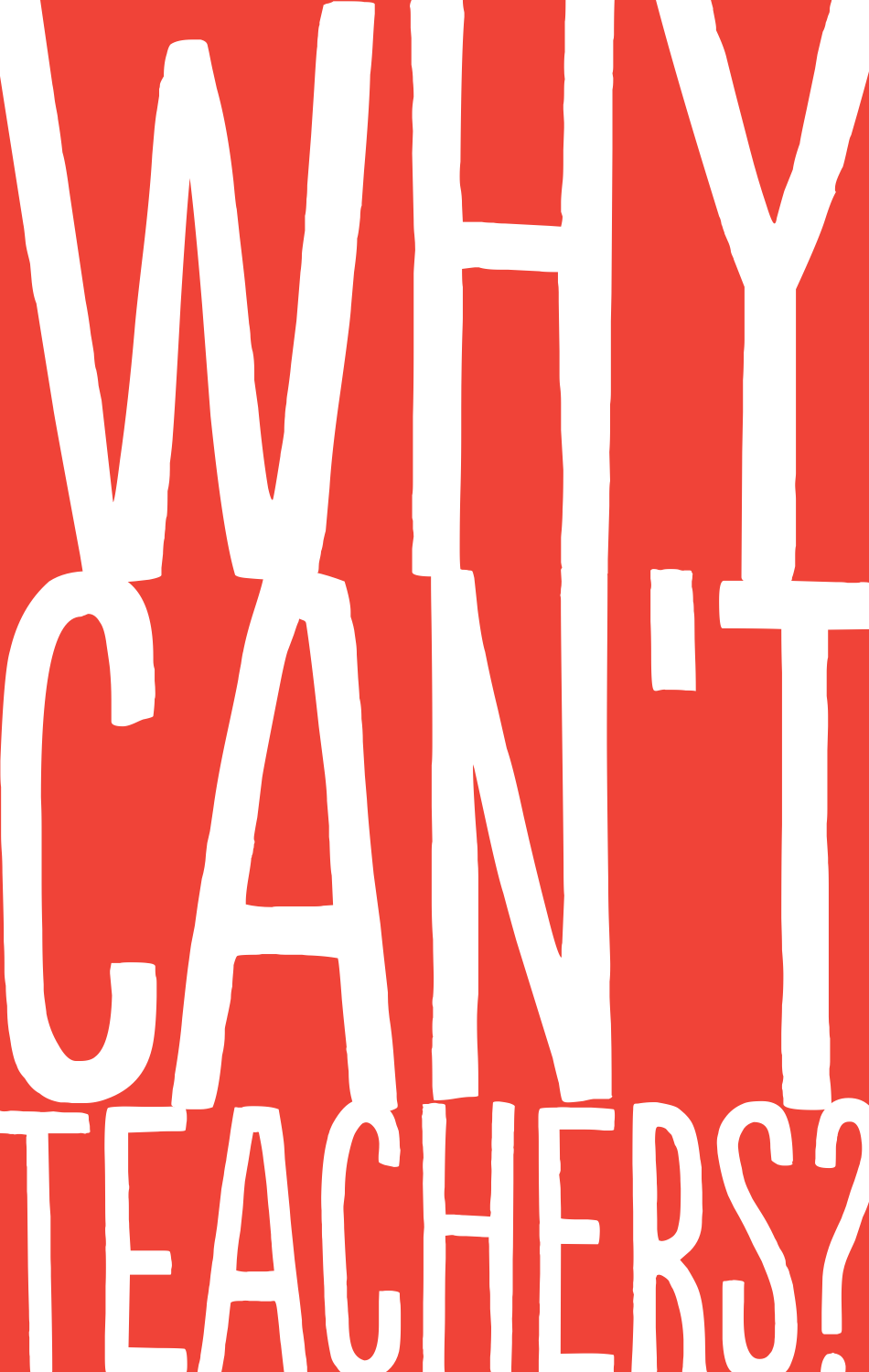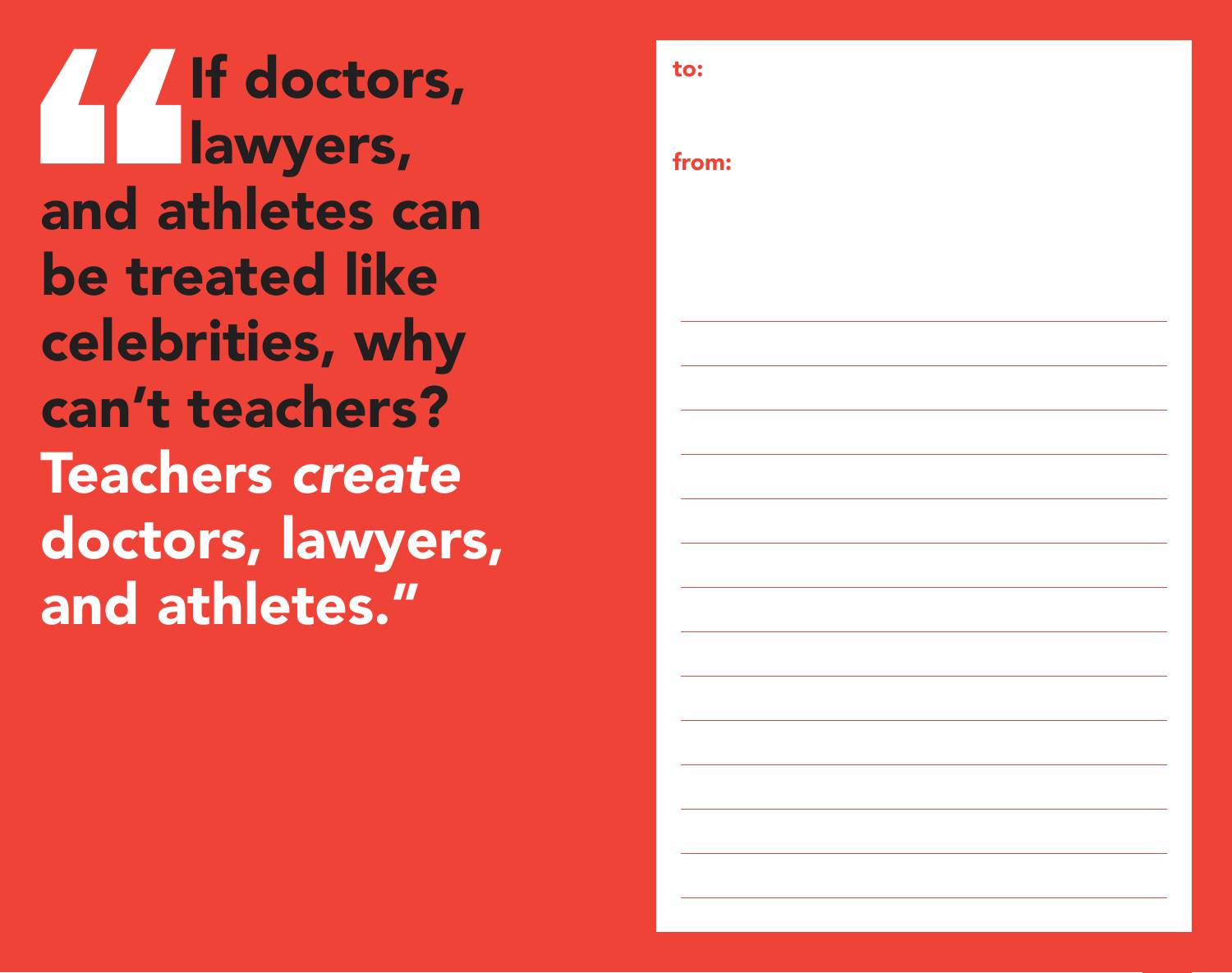If doctors, **Lawyers**, and athletes can be treated like celebrities, why can't teachers? Teachers *create* doctors, lawyers, and athletes."

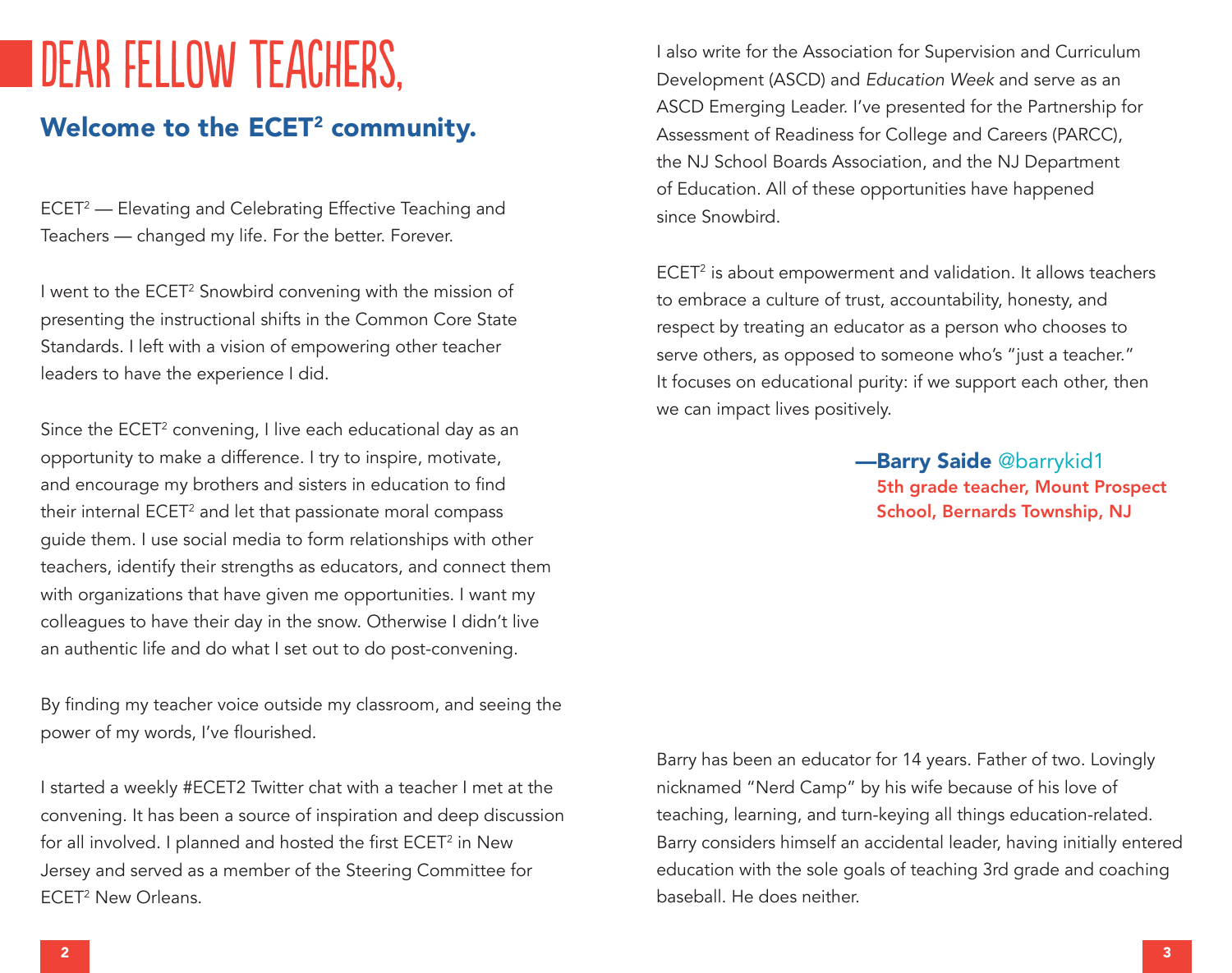## DEAR FELLOW TEACHERS,

### Welcome to the ECET<sup>2</sup> community.

ECET2 — Elevating and Celebrating Effective Teaching and Teachers — changed my life. For the better. Forever.

I went to the ECET<sup>2</sup> Snowbird convening with the mission of presenting the instructional shifts in the Common Core State Standards. I left with a vision of empowering other teacher leaders to have the experience I did.

Since the ECET<sup>2</sup> convening, I live each educational day as an opportunity to make a difference. I try to inspire, motivate, and encourage my brothers and sisters in education to find their internal ECET<sup>2</sup> and let that passionate moral compass guide them. I use social media to form relationships with other teachers, identify their strengths as educators, and connect them with organizations that have given me opportunities. I want my colleagues to have their day in the snow. Otherwise I didn't live an authentic life and do what I set out to do post-convening.

By finding my teacher voice outside my classroom, and seeing the power of my words, I've flourished.

I started a weekly #ECET2 Twitter chat with a teacher I met at the convening. It has been a source of inspiration and deep discussion for all involved. I planned and hosted the first ECET<sup>2</sup> in New Jersey and served as a member of the Steering Committee for ECET2 New Orleans.

I also write for the Association for Supervision and Curriculum Development (ASCD) and *Education Week* and serve as an ASCD Emerging Leader. I've presented for the Partnership for Assessment of Readiness for College and Careers (PARCC), the NJ School Boards Association, and the NJ Department of Education. All of these opportunities have happened since Snowbird.

ECET2 is about empowerment and validation. It allows teachers to embrace a culture of trust, accountability, honesty, and respect by treating an educator as a person who chooses to serve others, as opposed to someone who's "just a teacher." It focuses on educational purity: if we support each other, then we can impact lives positively.

> —Barry Saide @barrykid1 5th grade teacher, Mount Prospect School, Bernards Township, NJ

Barry has been an educator for 14 years. Father of two. Lovingly nicknamed "Nerd Camp" by his wife because of his love of teaching, learning, and turn-keying all things education-related. Barry considers himself an accidental leader, having initially entered education with the sole goals of teaching 3rd grade and coaching baseball. He does neither.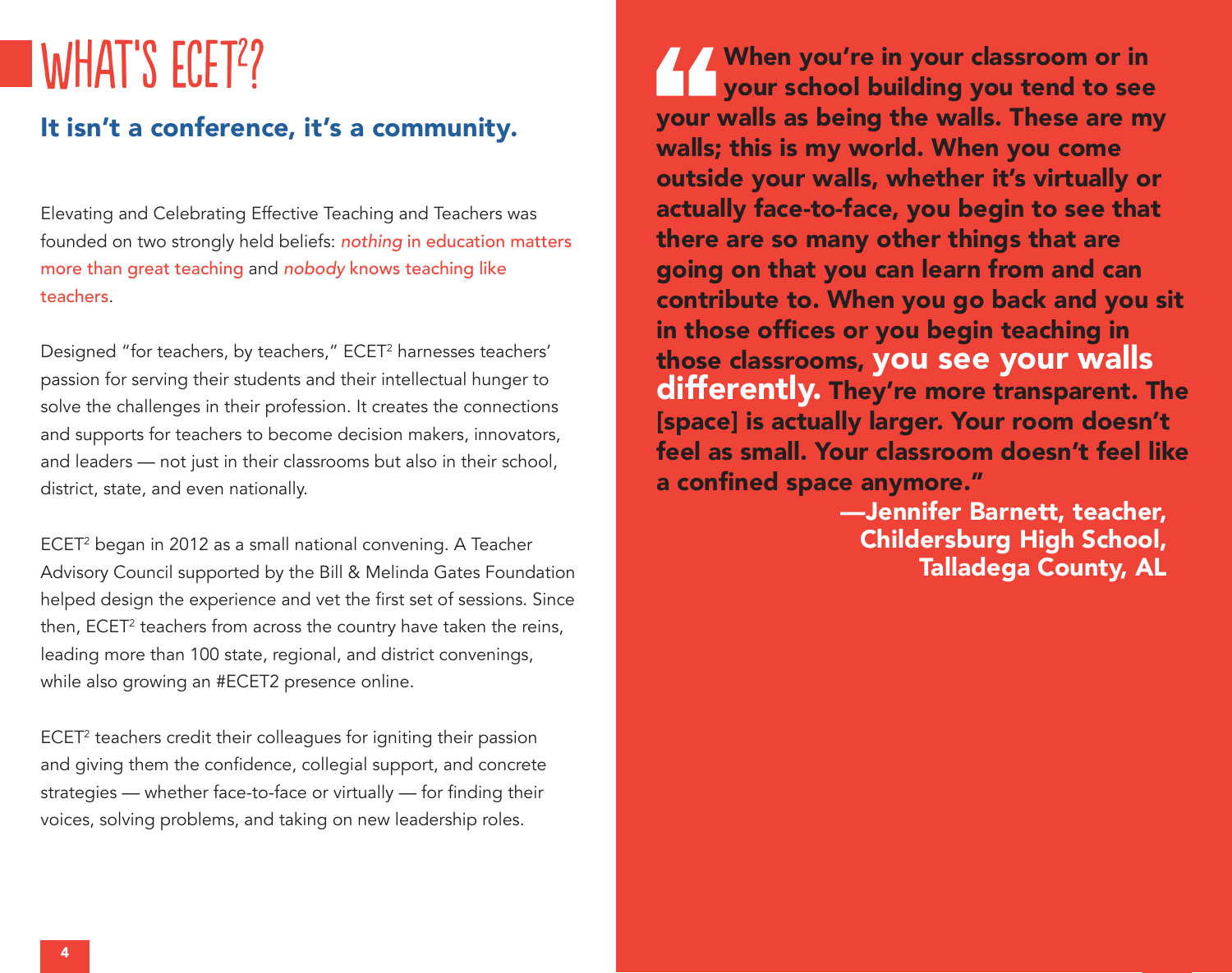# WHAT'S ECET<sup>2</sup>?

### It isn't a conference, it's a community.

Elevating and Celebrating Effective Teaching and Teachers was founded on two strongly held beliefs: *nothing* in education matters more than great teaching and *nobody* knows teaching like teachers.

Designed "for teachers, by teachers," ECET<sup>2</sup> harnesses teachers' passion for serving their students and their intellectual hunger to solve the challenges in their profession. It creates the connections and supports for teachers to become decision makers, innovators, and leaders — not just in their classrooms but also in their school, district, state, and even nationally.

ECET2 began in 2012 as a small national convening. A Teacher Advisory Council supported by the Bill & Melinda Gates Foundation helped design the experience and vet the first set of sessions. Since then, ECET<sup>2</sup> teachers from across the country have taken the reins, leading more than 100 state, regional, and district convenings, while also growing an #ECET2 presence online.

ECET<sup>2</sup> teachers credit their colleagues for igniting their passion and giving them the confidence, collegial support, and concrete strategies — whether face-to-face or virtually — for finding their voices, solving problems, and taking on new leadership roles.

When you're in your classroom or in your school building you tend to see your walls as being the walls. These are my walls; this is my world. When you come outside your walls, whether it's virtually or actually face-to-face, you begin to see that there are so many other things that are going on that you can learn from and can contribute to. When you go back and you sit in those offices or you begin teaching in those classrooms, you see your walls differently. They're more transparent. The [space] is actually larger. Your room doesn't feel as small. Your classroom doesn't feel like a confined space anymore."

> —Jennifer Barnett, teacher, Childersburg High School, Talladega County, AL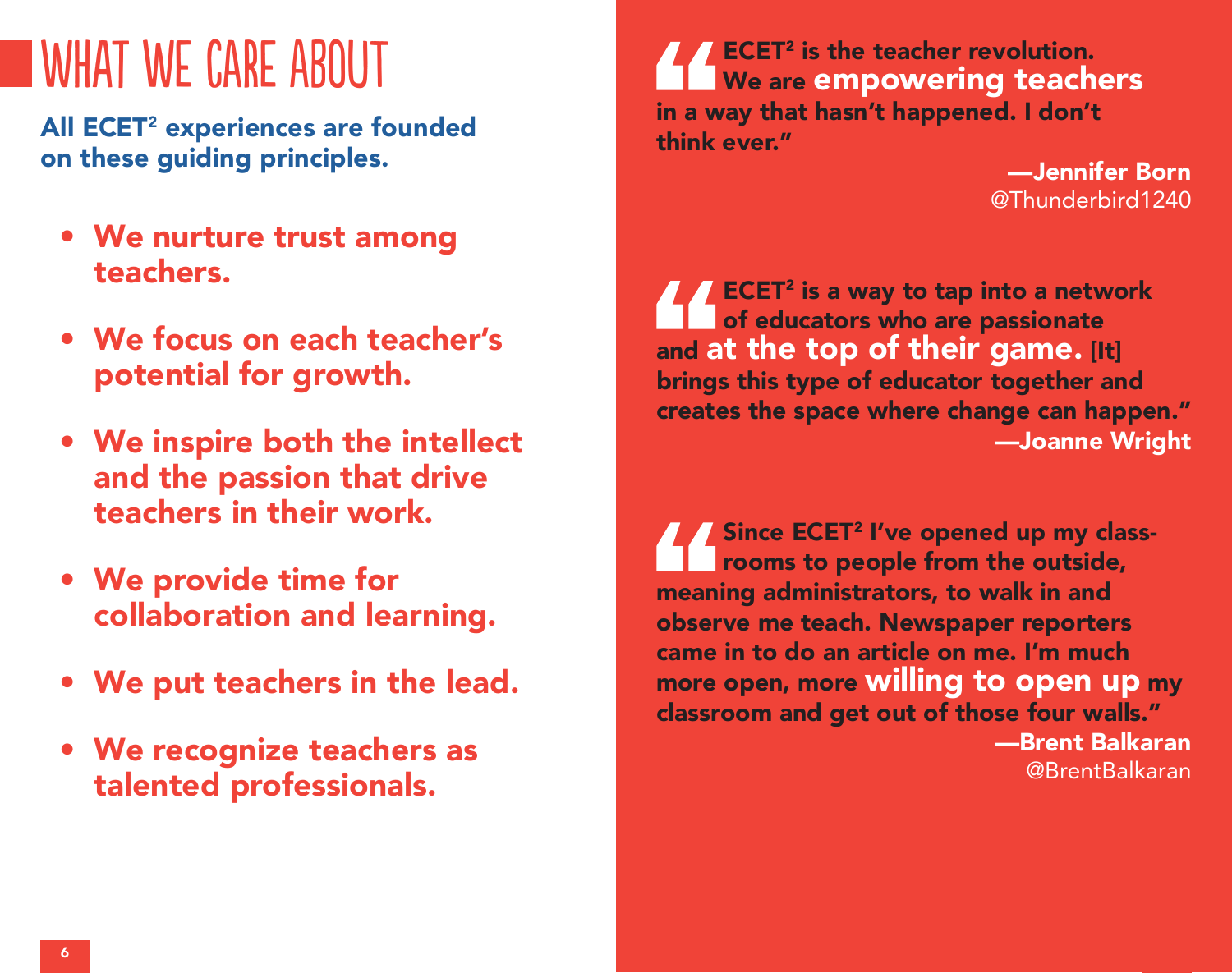## WHAT WE CARE ABOUT

All ECET<sup>2</sup> experiences are founded on these guiding principles.

- We nurture trust among teachers.
- We focus on each teacher's potential for growth.
- We inspire both the intellect and the passion that drive teachers in their work.
- We provide time for collaboration and learning.
- We put teachers in the lead.
- We recognize teachers as talented professionals.

ECET2 is the teacher revolution. We are empowering teachers in a way that hasn't happened. I don't think ever."

> —Jennifer Born @Thunderbird1240

 $\mathsf{ECET}^2$  is a way to tap into a network of educators who are passionate and at the top of their game. [It] brings this type of educator together and creates the space where change can happen." —Joanne Wright

**Since ECET<sup>2</sup> I've opened up my class**rooms to people from the outside, meaning administrators, to walk in and observe me teach. Newspaper reporters came in to do an article on me. I'm much more open, more willing to open up my classroom and get out of those four walls."

—Brent Balkaran @BrentBalkaran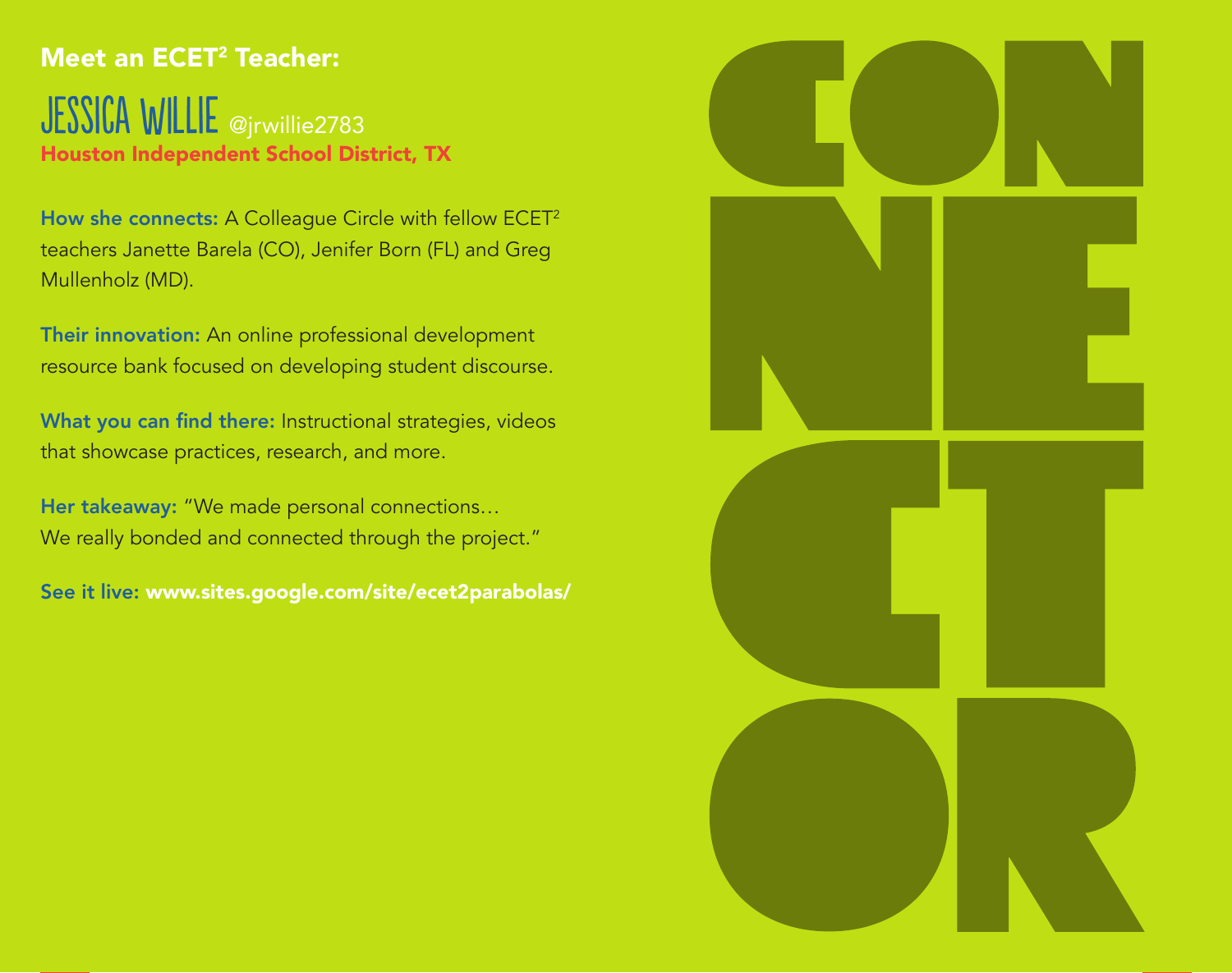### Meet an ECET<sup>2</sup> Teacher:

JESSICA WILLIE @jrwillie2783 Houston Independent School District, TX

How she connects: A Colleague Circle with fellow ECET<sup>2</sup> teachers Janette Barela (CO), Jenifer Born (FL) and Greg Mullenholz (MD).

Their innovation: An online professional development resource bank focused on developing student discourse.

What you can find there: Instructional strategies, videos that showcase practices, research, and more.

Her takeaway: "We made personal connections… We really bonded and connected through the project."

See it live: www.sites.google.com/site/ecet2parabolas/

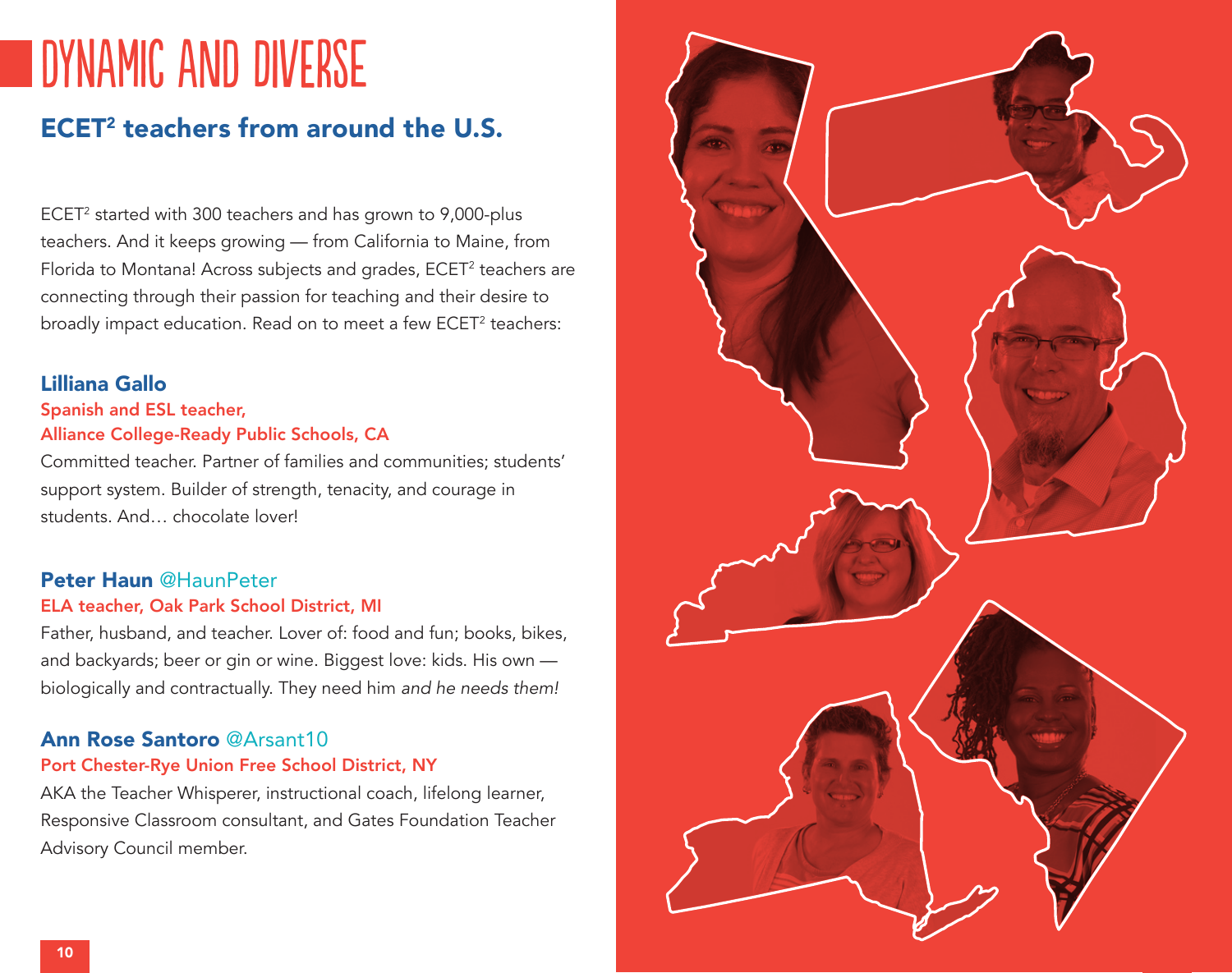## dynamic and diverse

### ECET2 teachers from around the U.S.

ECET2 started with 300 teachers and has grown to 9,000-plus teachers. And it keeps growing — from California to Maine, from Florida to Montana! Across subjects and grades, ECET<sup>2</sup> teachers are connecting through their passion for teaching and their desire to broadly impact education. Read on to meet a few ECET<sup>2</sup> teachers:

#### Lilliana Gallo

#### Spanish and ESL teacher, Alliance College-Ready Public Schools, CA

Committed teacher. Partner of families and communities; students' support system. Builder of strength, tenacity, and courage in students. And… chocolate lover!

#### Peter Haun @HaunPeter

#### ELA teacher, Oak Park School District, MI

Father, husband, and teacher. Lover of: food and fun; books, bikes, and backyards; beer or gin or wine. Biggest love: kids. His own biologically and contractually. They need him *and he needs them!*

#### Ann Rose Santoro @Arsant10

#### Port Chester-Rye Union Free School District, NY

AKA the Teacher Whisperer, instructional coach, lifelong learner, Responsive Classroom consultant, and Gates Foundation Teacher Advisory Council member.

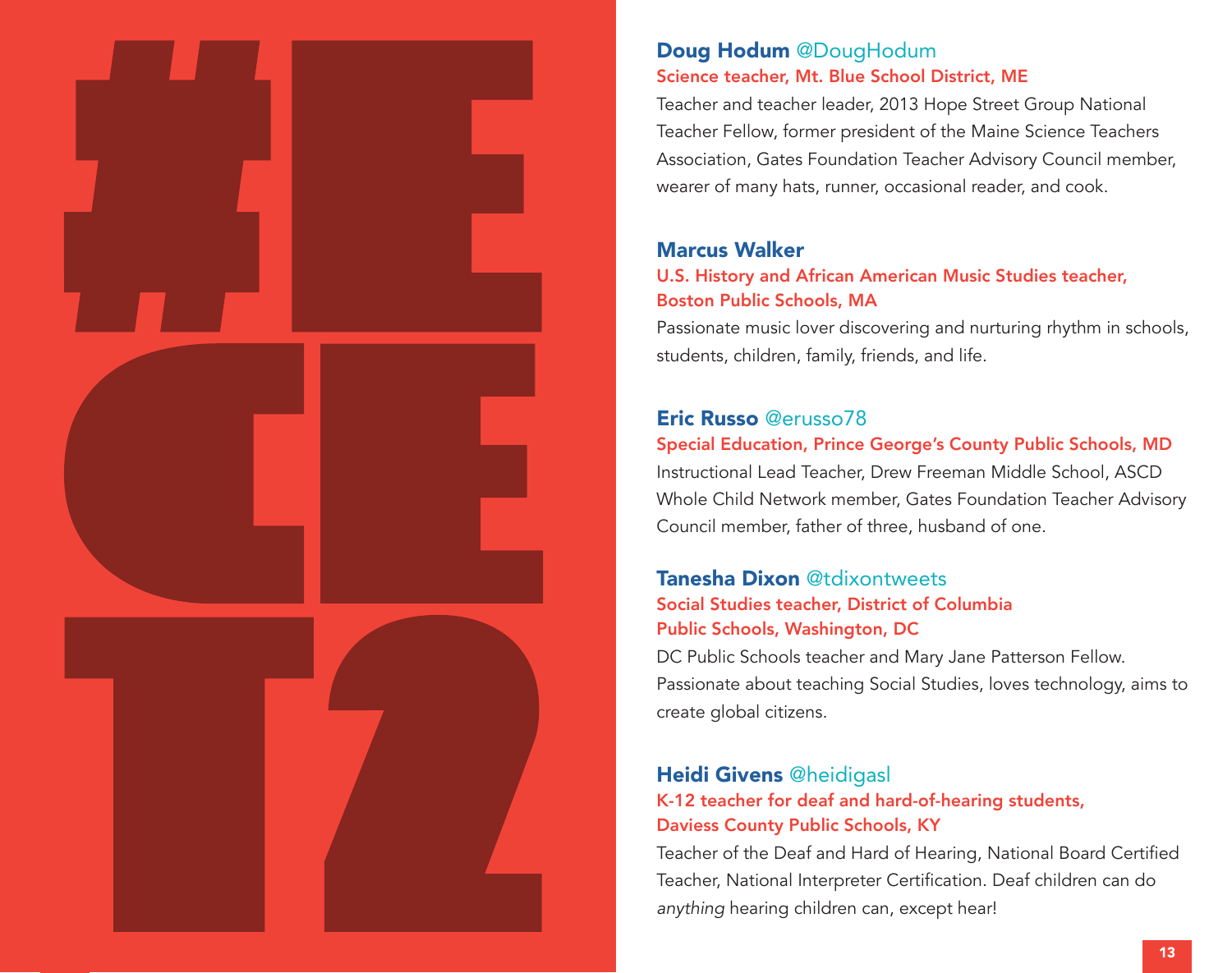

#### Doug Hodum @DougHodum Science teacher, Mt. Blue School District, ME

Teacher and teacher leader, 2013 Hope Street Group National Teacher Fellow, former president of the Maine Science Teachers Association, Gates Foundation Teacher Advisory Council member, wearer of many hats, runner, occasional reader, and cook.

#### Marcus Walker

#### U.S. History and African American Music Studies teacher, Boston Public Schools, MA

Passionate music lover discovering and nurturing rhythm in schools, students, children, family, friends, and life.

#### Eric Russo @erusso78

#### Special Education, Prince George's County Public Schools, MD

Instructional Lead Teacher, Drew Freeman Middle School, ASCD Whole Child Network member, Gates Foundation Teacher Advisory Council member, father of three, husband of one.

## Tanesha Dixon @tdixontweets

#### Social Studies teacher, District of Columbia Public Schools, Washington, DC

DC Public Schools teacher and Mary Jane Patterson Fellow. Passionate about teaching Social Studies, loves technology, aims to create global citizens.

#### Heidi Givens @heidigasl

#### K-12 teacher for deaf and hard-of-hearing students, Daviess County Public Schools, KY

Teacher of the Deaf and Hard of Hearing, National Board Certified Teacher, National Interpreter Certification. Deaf children can do *anything* hearing children can, except hear!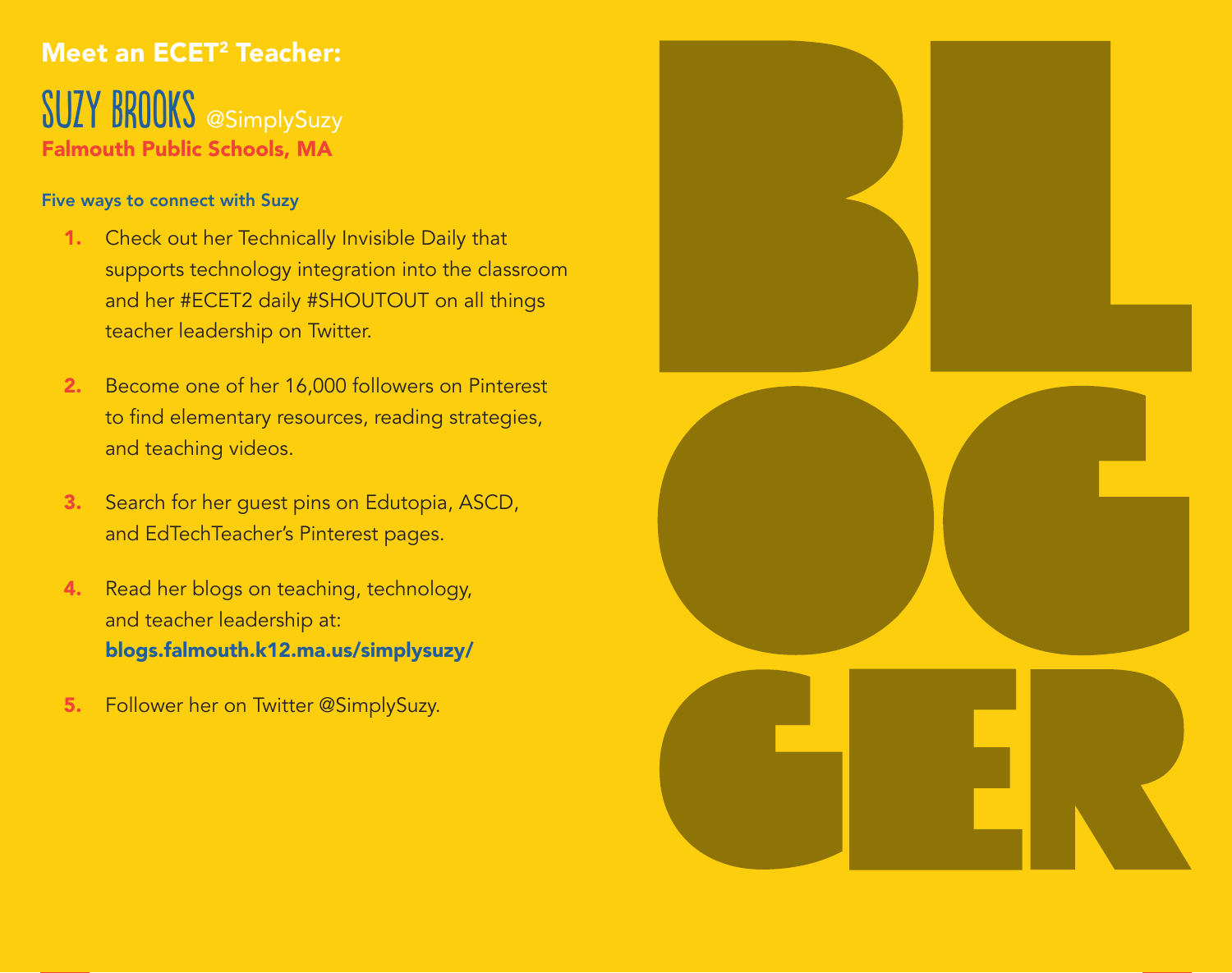### Meet an ECET<sup>2</sup> Teacher:

SUZY BROOKS @SimplySuzy Falmouth Public Schools, MA

#### Five ways to connect with Suzy

- 1. Check out her Technically Invisible Daily that supports technology integration into the classroom and her #ECET2 daily #SHOUTOUT on all things teacher leadership on Twitter.
- 2. Become one of her 16,000 followers on Pinterest to find elementary resources, reading strategies, and teaching videos.
- 3. Search for her guest pins on Edutopia, ASCD, and EdTechTeacher's Pinterest pages.
- 4. Read her blogs on teaching, technology, and teacher leadership at: blogs.falmouth.k12.ma.us/simplysuzy/
- 5. Follower her on Twitter @SimplySuzy.

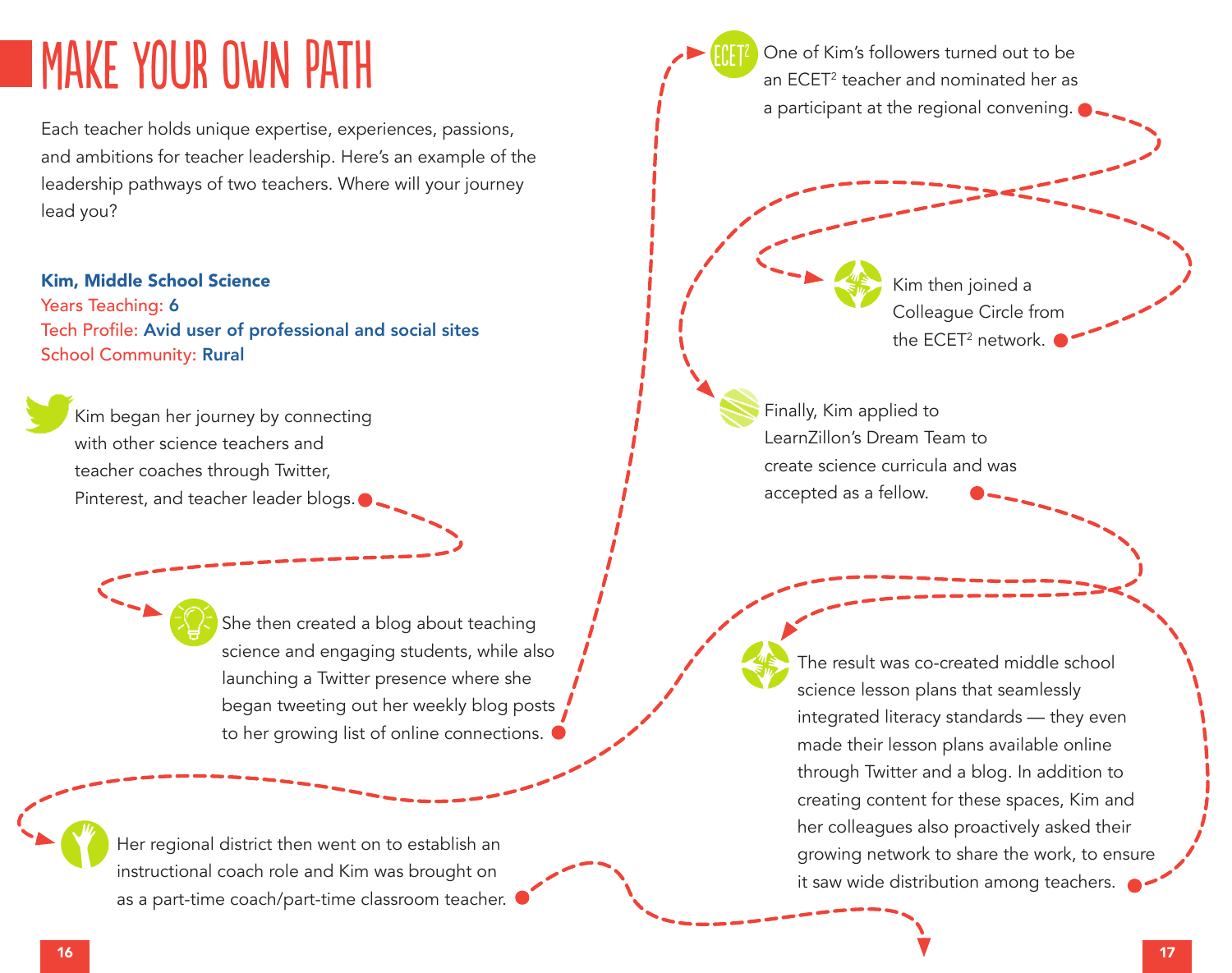## Make Your Own Path

Each teacher holds unique expertise, experiences, passions, and ambitions for teacher leadership. Here's an example of the leadership pathways of two teachers. Where will your journey lead you?

#### Kim, Middle School Science

Years Teaching: 6 Tech Profile: Avid user of professional and social sites School Community: Rural

Kim began her journey by connecting with other science teachers and teacher coaches through Twitter, Pinterest, and teacher leader blogs.

> She then created a blog about teaching science and engaging students, while also launching a Twitter presence where she began tweeting out her weekly blog posts to her growing list of online connections.

Her regional district then went on to establish an instructional coach role and Kim was brought on as a part-time coach/part-time classroom teacher.

One of Kim's followers turned out to be an ECET2 teacher and nominated her as a participant at the regional convening. Kim then joined a Colleague Circle from the ECET<sup>2</sup> network. The result was co-created middle school science lesson plans that seamlessly integrated literacy standards — they even made their lesson plans available online through Twitter and a blog. In addition to creating content for these spaces, Kim and her colleagues also proactively asked their growing network to share the work, to ensure it saw wide distribution among teachers. Finally, Kim applied to LearnZillon's Dream Team to create science curricula and was accepted as a fellow. ECET2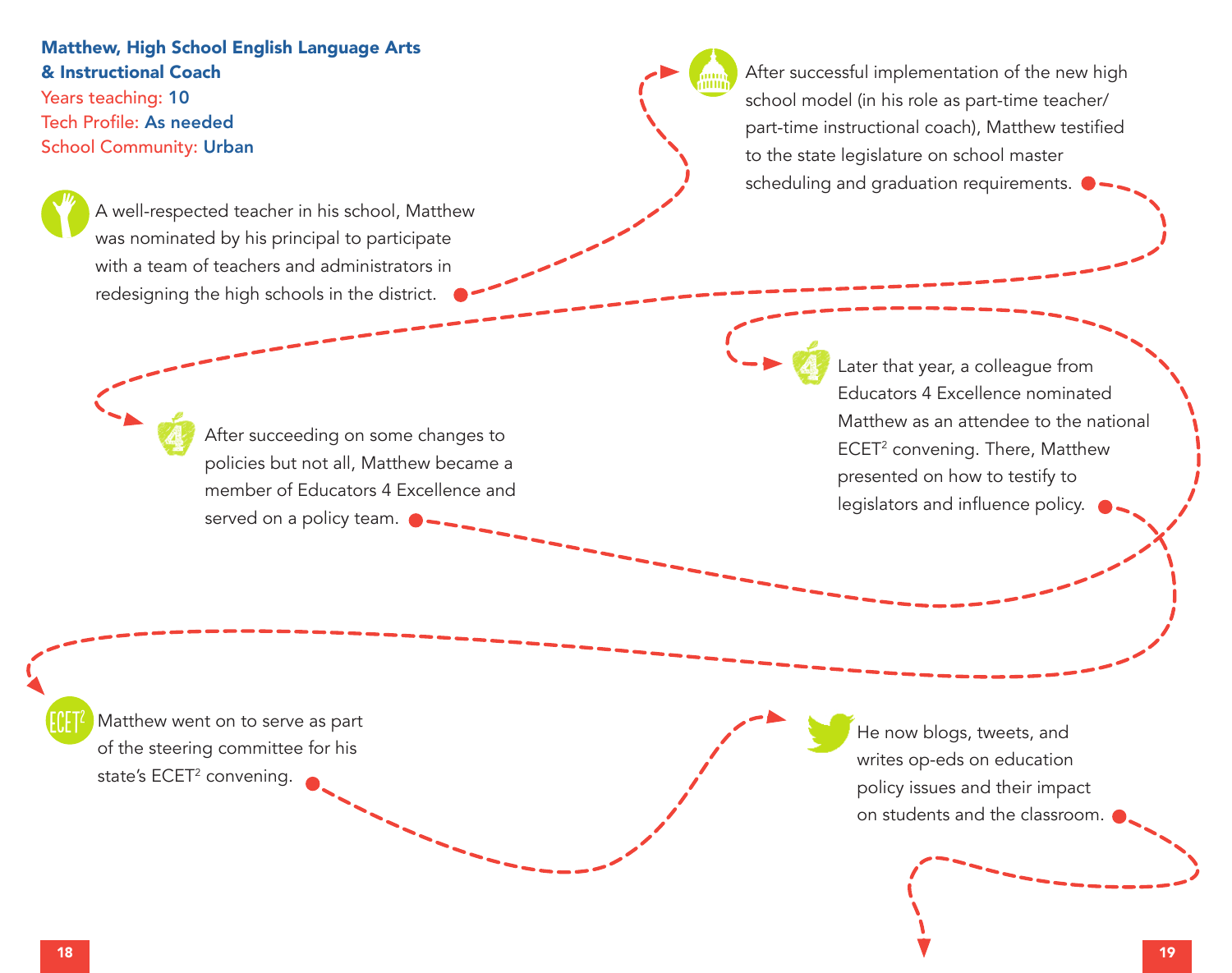#### Matthew, High School English Language Arts & Instructional Coach

Years teaching: 10 Tech Profile: As needed School Community: Urban

> A well-respected teacher in his school, Matthew was nominated by his principal to participate with a team of teachers and administrators in redesigning the high schools in the district.

> > After succeeding on some changes to policies but not all, Matthew became a member of Educators 4 Excellence and served on a policy team.

After successful implementation of the new high school model (in his role as part-time teacher/ part-time instructional coach), Matthew testified to the state legislature on school master scheduling and graduation requirements.

> Later that year, a colleague from Educators 4 Excellence nominated Matthew as an attendee to the national ECET<sup>2</sup> convening. There, Matthew presented on how to testify to legislators and influence policy.

Matthew went on to serve as part of the steering committee for his state's ECET<sup>2</sup> convening.

He now blogs, tweets, and writes op-eds on education policy issues and their impact on students and the classroom.

ECET2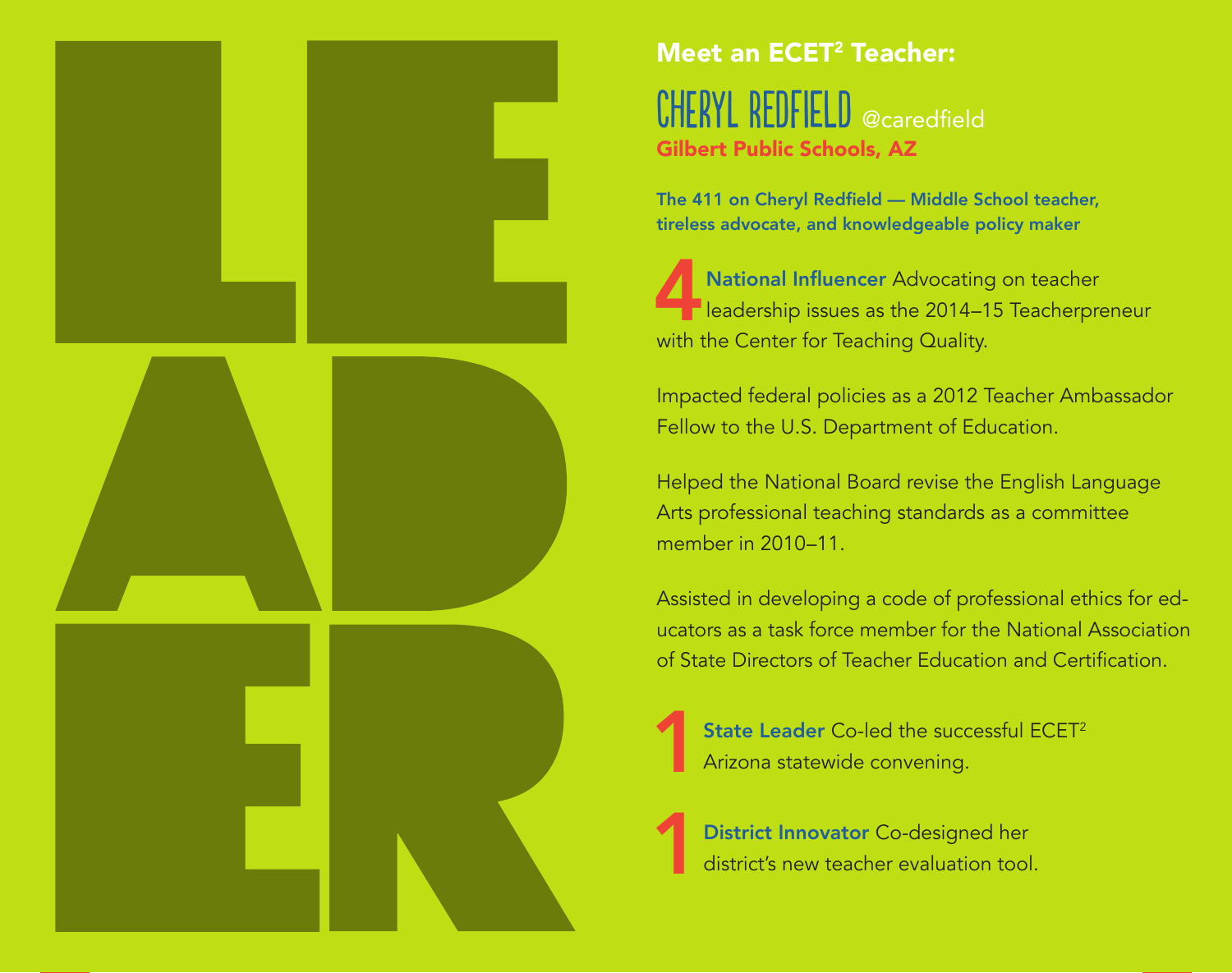

### Meet an ECET 2 Teacher:

 $\mathsf{CHERYL}$   $\mathsf{REDF}$   $\mathsf{IELD}$   $\mathsf{\scriptstyle \mathsf{\scriptstyle \mathsf{e}c-}$  aredfield Gilbert Public Schools, AZ

The 411 on Cheryl Redfield — Middle School teacher, tireless advocate, and knowledgeable policy maker

**14National Influencer** Advocating on teacher<br>
leadership issues as the 2014–15 Teacherpre leadership issues as the 2014–15 Teacherpreneur with the Center for Teaching Quality.

Impacted federal policies as a 2012 Teacher Ambassador Fellow to the U.S. Department of Education.

Helped the National Board revise the English Language Arts professional teaching standards as a committee member in 2010–11.

Assisted in developing a code of professional ethics for ed ‑ ucators as a task force member for the National Association of State Directors of Teacher Education and Certification.

**State Leader** Co-led the successful ECET<sup>2</sup> Arizona statewide convening.

District Innovator Co-designed her<br>district's new teacher evaluation tool district's new teacher evaluation tool.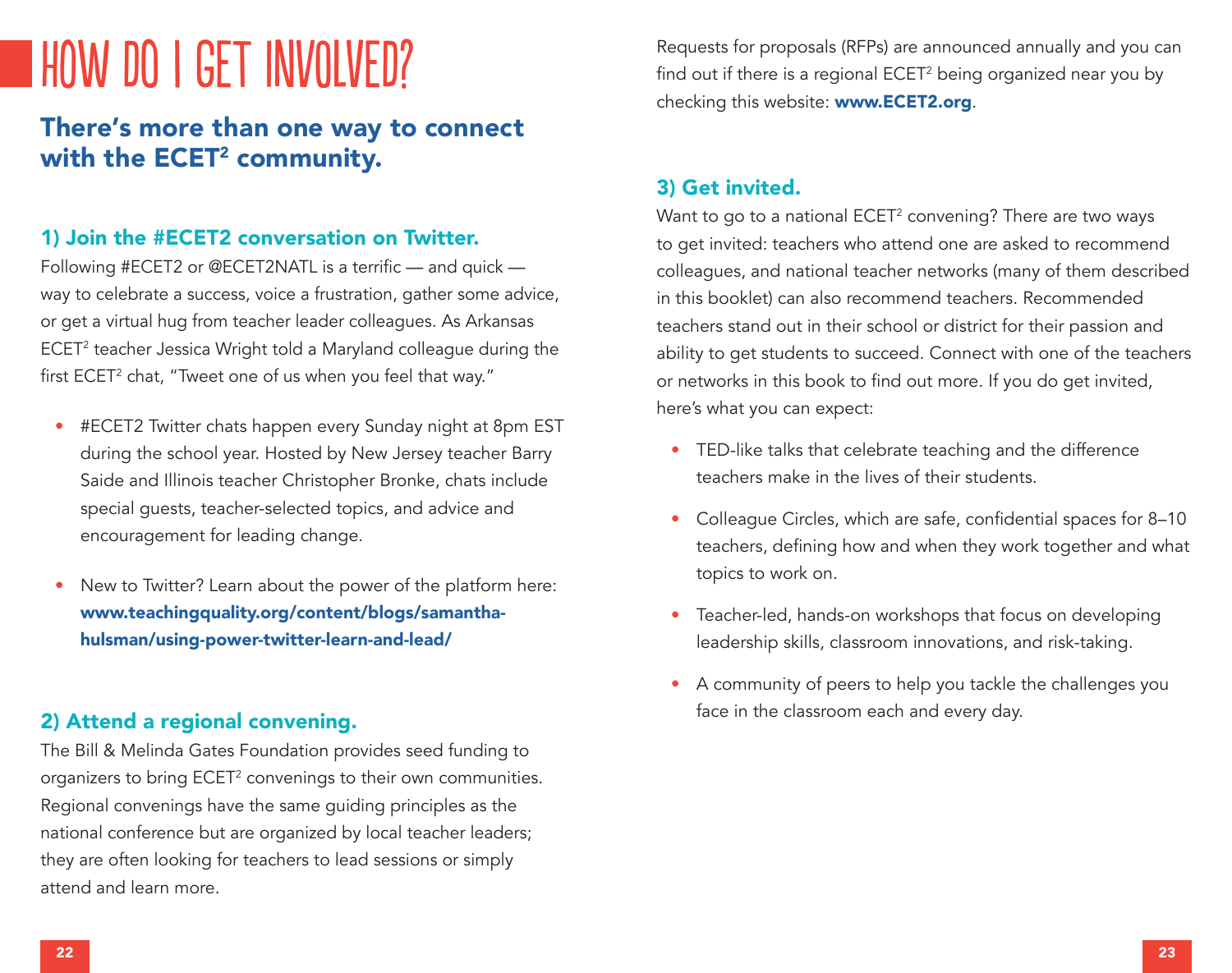## How do I get INVOLVED?

### There's more than one way to connect with the ECET<sup>2</sup> community.

#### 1) Join the #ECET2 conversation on Twitter.

Following #ECET2 or @ECET2NATL is a terrific — and quick way to celebrate a success, voice a frustration, gather some advice, or get a virtual hug from teacher leader colleagues. As Arkansas ECET2 teacher Jessica Wright told a Maryland colleague during the first ECET<sup>2</sup> chat, "Tweet one of us when you feel that way."

- #ECET2 Twitter chats happen every Sunday night at 8pm EST during the school year. Hosted by New Jersey teacher Barry Saide and Illinois teacher Christopher Bronke, chats include special guests, teacher-selected topics, and advice and encouragement for leading change.
- New to Twitter? Learn about the power of the platform here: www.teachingquality.org/content/blogs/samanthahulsman/using-power-twitter-learn-and-lead/

#### 2) Attend a regional convening.

The Bill & Melinda Gates Foundation provides seed funding to organizers to bring ECET<sup>2</sup> convenings to their own communities. Regional convenings have the same guiding principles as the national conference but are organized by local teacher leaders; they are often looking for teachers to lead sessions or simply attend and learn more.

Requests for proposals (RFPs) are announced annually and you can find out if there is a regional ECET<sup>2</sup> being organized near you by checking this website: www.ECET2.org.

#### 3) Get invited.

Want to go to a national ECET<sup>2</sup> convening? There are two ways to get invited: teachers who attend one are asked to recommend colleagues, and national teacher networks (many of them described in this booklet) can also recommend teachers. Recommended teachers stand out in their school or district for their passion and ability to get students to succeed. Connect with one of the teachers or networks in this book to find out more. If you do get invited, here's what you can expect:

- TED-like talks that celebrate teaching and the difference teachers make in the lives of their students.
- Colleague Circles, which are safe, confidential spaces for 8–10 teachers, defining how and when they work together and what topics to work on.
- Teacher-led, hands-on workshops that focus on developing leadership skills, classroom innovations, and risk-taking.
- A community of peers to help you tackle the challenges you face in the classroom each and every day.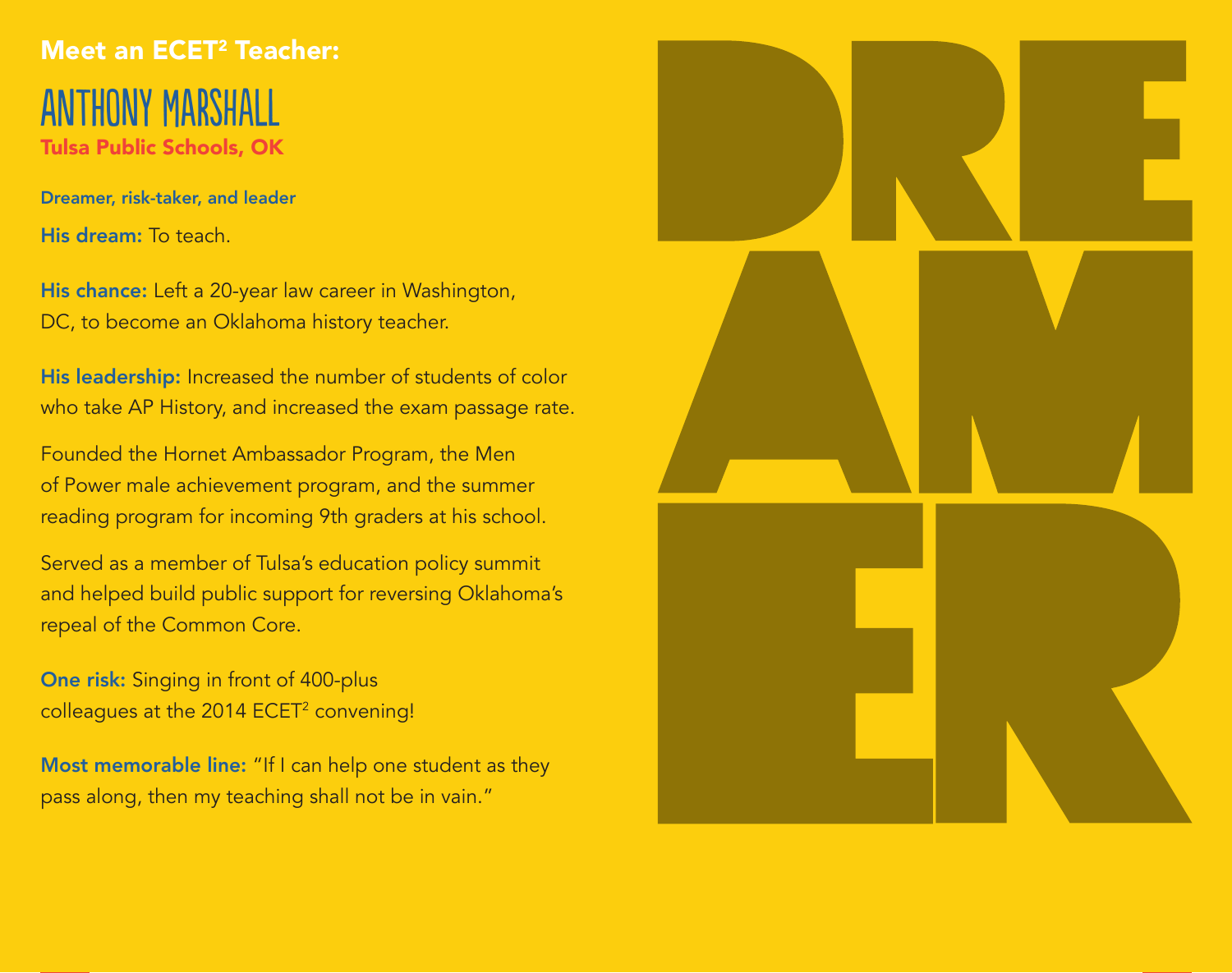## Meet an ECET<sup>2</sup> Teacher: Anthony Marshall Tulsa Public Schools, OK

Dreamer, risk-taker, and leader His dream: To teach.

His chance: Left a 20-year law career in Washington, DC, to become an Oklahoma history teacher.

His leadership: Increased the number of students of color who take AP History, and increased the exam passage rate.

Founded the Hornet Ambassador Program, the Men of Power male achievement program, and the summer reading program for incoming 9th graders at his school.

Served as a member of Tulsa's education policy summit and helped build public support for reversing Oklahoma's repeal of the Common Core.

One risk: Singing in front of 400-plus colleagues at the 2014 ECET<sup>2</sup> convening!

Most memorable line: "If I can help one student as they pass along, then my teaching shall not be in vain."

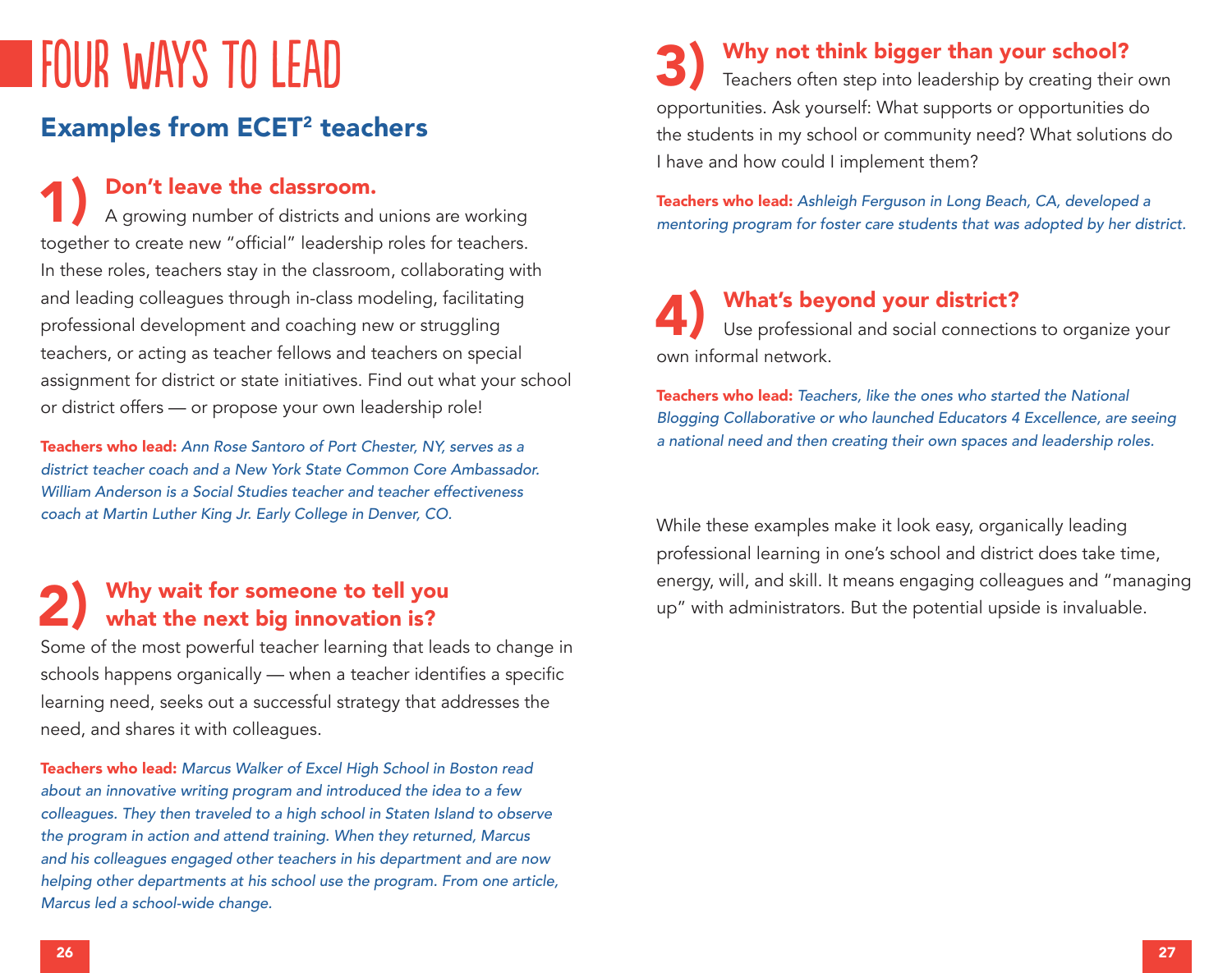## four Ways to lead

### Examples from ECET<sup>2</sup> teachers

1) Don't leave the classroom.<br>A growing number of districts and unions are working together to create new "official" leadership roles for teachers. In these roles, teachers stay in the classroom, collaborating with and leading colleagues through in-class modeling, facilitating professional development and coaching new or struggling teachers, or acting as teacher fellows and teachers on special assignment for district or state initiatives. Find out what your school or district offers — or propose your own leadership role!

Teachers who lead: *Ann Rose Santoro of Port Chester, NY, serves as a district teacher coach and a New York State Common Core Ambassador. William Anderson is a Social Studies teacher and teacher effectiveness coach at Martin Luther King Jr. Early College in Denver, CO.*

## 2) Why wait for someone to tell you<br>what the next big innovation is?

Some of the most powerful teacher learning that leads to change in schools happens organically — when a teacher identifies a specific learning need, seeks out a successful strategy that addresses the need, and shares it with colleagues.

Teachers who lead: *Marcus Walker of Excel High School in Boston read about an innovative writing program and introduced the idea to a few colleagues. They then traveled to a high school in Staten Island to observe the program in action and attend training. When they returned, Marcus and his colleagues engaged other teachers in his department and are now helping other departments at his school use the program. From one article, Marcus led a school-wide change.* 

**3)** Why not think bigger than your school?<br>Teachers often step into leadership by creating their own opportunities. Ask yourself: What supports or opportunities do the students in my school or community need? What solutions do I have and how could I implement them?

Teachers who lead: *Ashleigh Ferguson in Long Beach, CA, developed a mentoring program for foster care students that was adopted by her district.* 

## What's beyond your district?<br>Use professional and social connections to organize your own informal network.

Teachers who lead: *Teachers, like the ones who started the National Blogging Collaborative or who launched Educators 4 Excellence, are seeing a national need and then creating their own spaces and leadership roles.* 

While these examples make it look easy, organically leading professional learning in one's school and district does take time, energy, will, and skill. It means engaging colleagues and "managing up" with administrators. But the potential upside is invaluable.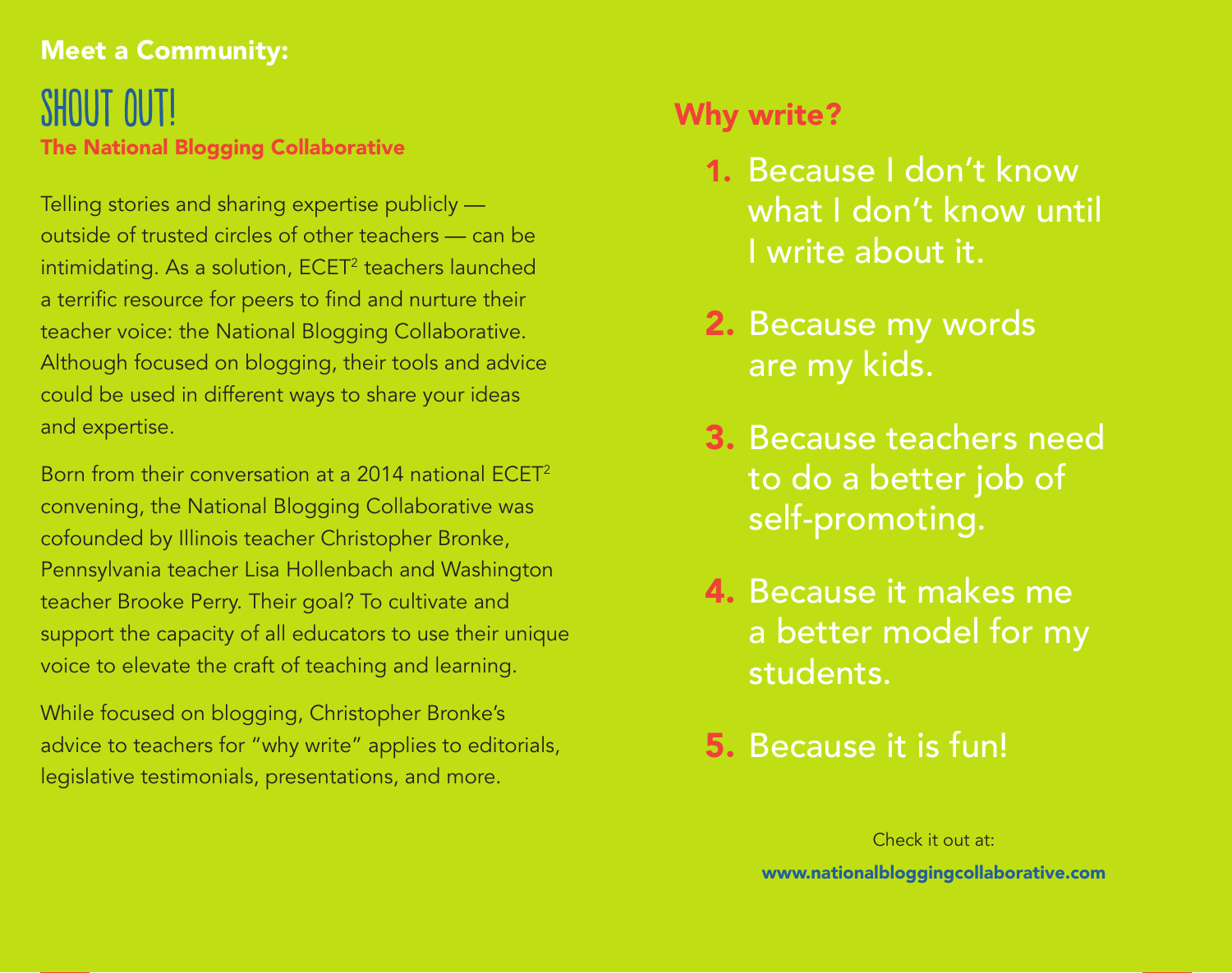### Meet a Community:

## shout out! The National Blogging Collaborative

Telling stories and sharing expertise publicly outside of trusted circles of other teachers — can be intimidating. As a solution, ECET<sup>2</sup> teachers launched a terrific resource for peers to find and nurture their teacher voice: the National Blogging Collaborative. Although focused on blogging, their tools and advice could be used in different ways to share your ideas and expertise.

Born from their conversation at a 2014 national ECET2 convening, the National Blogging Collaborative was cofounded by Illinois teacher Christopher Bronke, Pennsylvania teacher Lisa Hollenbach and Washington teacher Brooke Perry. Their goal? To cultivate and support the capacity of all educators to use their unique voice to elevate the craft of teaching and learning.

While focused on blogging, Christopher Bronke's advice to teachers for "why write" applies to editorials, legislative testimonials, presentations, and more.

## Why write?

- 1. Because I don't know what I don't know until I write about it.
- 2. Because my words are my kids.
- 3. Because teachers need to do a better job of self-promoting.
- 4. Because it makes me a better model for my students.
- 5. Because it is fun!

Check it out at: www.nationalbloggingcollaborative.com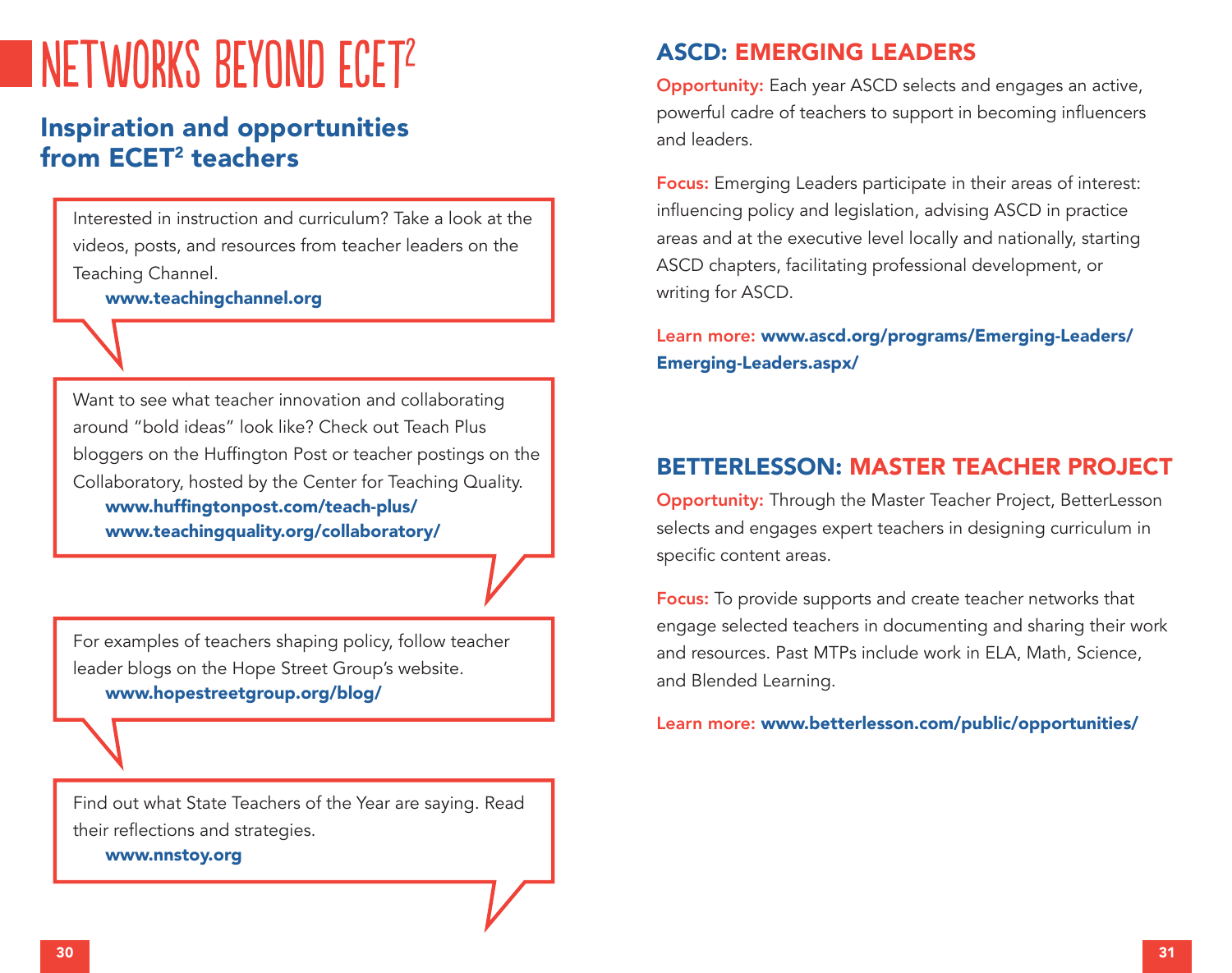## networks beyond ECET<sup>2</sup>

### Inspiration and opportunities from ECET<sup>2</sup> teachers

Interested in instruction and curriculum? Take a look at the videos, posts, and resources from teacher leaders on the Teaching Channel.

www.teachingchannel.org

Want to see what teacher innovation and collaborating around "bold ideas" look like? Check out Teach Plus bloggers on the Huffington Post or teacher postings on the Collaboratory, hosted by the Center for Teaching Quality. www.huffingtonpost.com/teach-plus/ www.teachingquality.org/collaboratory/

For examples of teachers shaping policy, follow teacher leader blogs on the Hope Street Group's website. www.hopestreetgroup.org/blog/

Find out what State Teachers of the Year are saying. Read their reflections and strategies.

www.nnstoy.org

#### ASCD: EMERGING LEADERS

Opportunity: Each year ASCD selects and engages an active, powerful cadre of teachers to support in becoming influencers and leaders.

Focus: Emerging Leaders participate in their areas of interest: influencing policy and legislation, advising ASCD in practice areas and at the executive level locally and nationally, starting ASCD chapters, facilitating professional development, or writing for ASCD.

Learn more: www.ascd.org/programs/Emerging-Leaders/ Emerging-Leaders.aspx/

#### BETTERLESSON: MASTER TEACHER PROJECT

Opportunity: Through the Master Teacher Project, BetterLesson selects and engages expert teachers in designing curriculum in specific content areas.

Focus: To provide supports and create teacher networks that engage selected teachers in documenting and sharing their work and resources. Past MTPs include work in ELA, Math, Science, and Blended Learning.

Learn more: www.betterlesson.com/public/opportunities/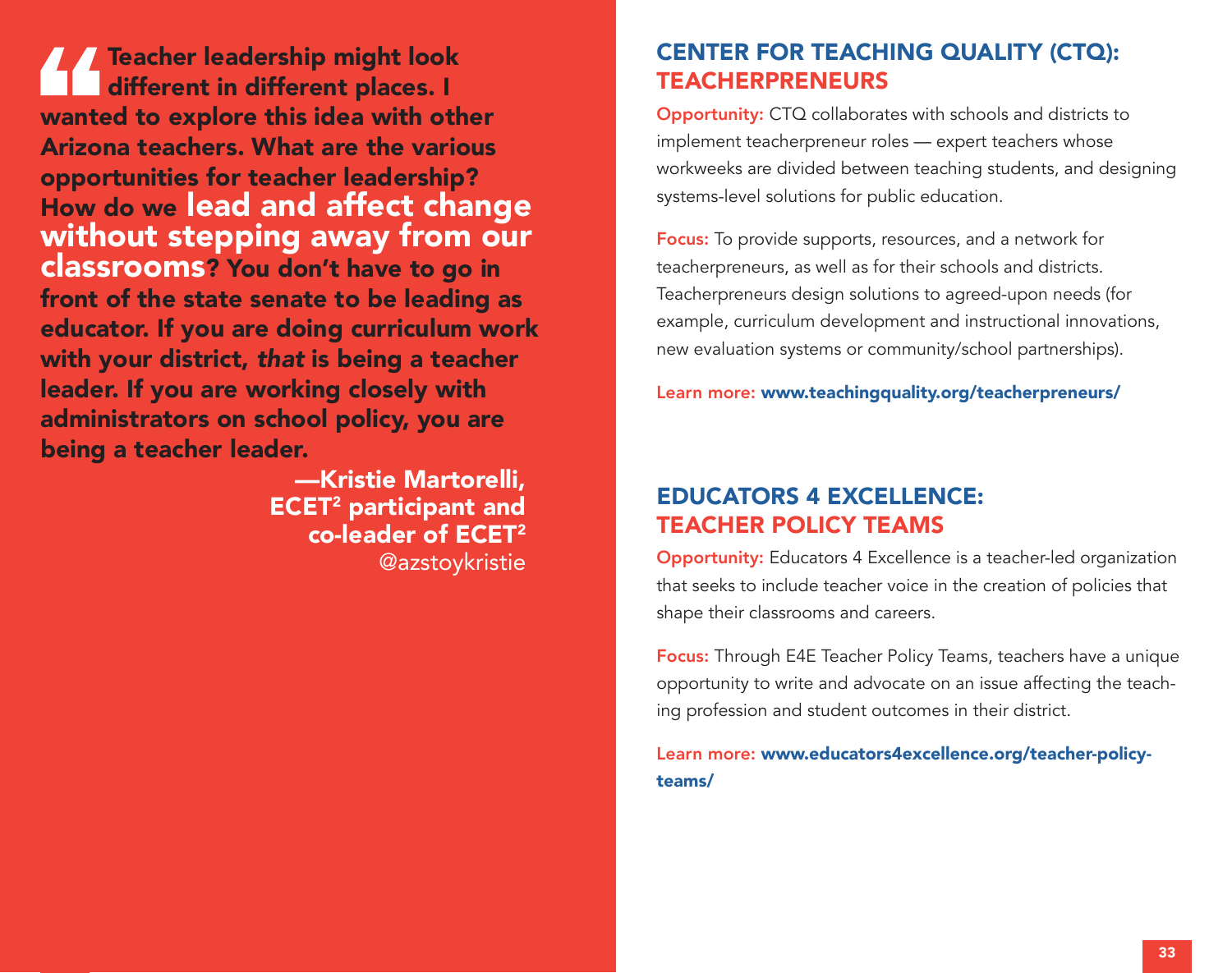Teacher leadership might look different in different places. I wanted to explore this idea with other Arizona teachers. What are the various opportunities for teacher leadership? How do we lead and affect change without stepping away from our classrooms? You don't have to go in front of the state senate to be leading as educator. If you are doing curriculum work with your district, *that* is being a teacher leader. If you are working closely with administrators on school policy, you are being a teacher leader.

> —Kristie Martorelli, ECET2 participant and co-leader of ECET2 @azstoykristie

#### CENTER FOR TEACHING QUALITY (CTQ): **TEACHERPRENEURS**

Opportunity: CTQ collaborates with schools and districts to implement teacherpreneur roles — expert teachers whose workweeks are divided between teaching students, and designing systems-level solutions for public education.

Focus: To provide supports, resources, and a network for teacherpreneurs, as well as for their schools and districts. Teacherpreneurs design solutions to agreed-upon needs (for example, curriculum development and instructional innovations, new evaluation systems or community/school partnerships).

Learn more: www.teachingquality.org/teacherpreneurs/

### EDUCATORS 4 EXCELLENCE: TEACHER POLICY TEAMS

Opportunity: Educators 4 Excellence is a teacher-led organization that seeks to include teacher voice in the creation of policies that shape their classrooms and careers.

Focus: Through E4E Teacher Policy Teams, teachers have a unique opportunity to write and advocate on an issue affecting the teaching profession and student outcomes in their district.

Learn more: www.educators4excellence.org/teacher-policyteams/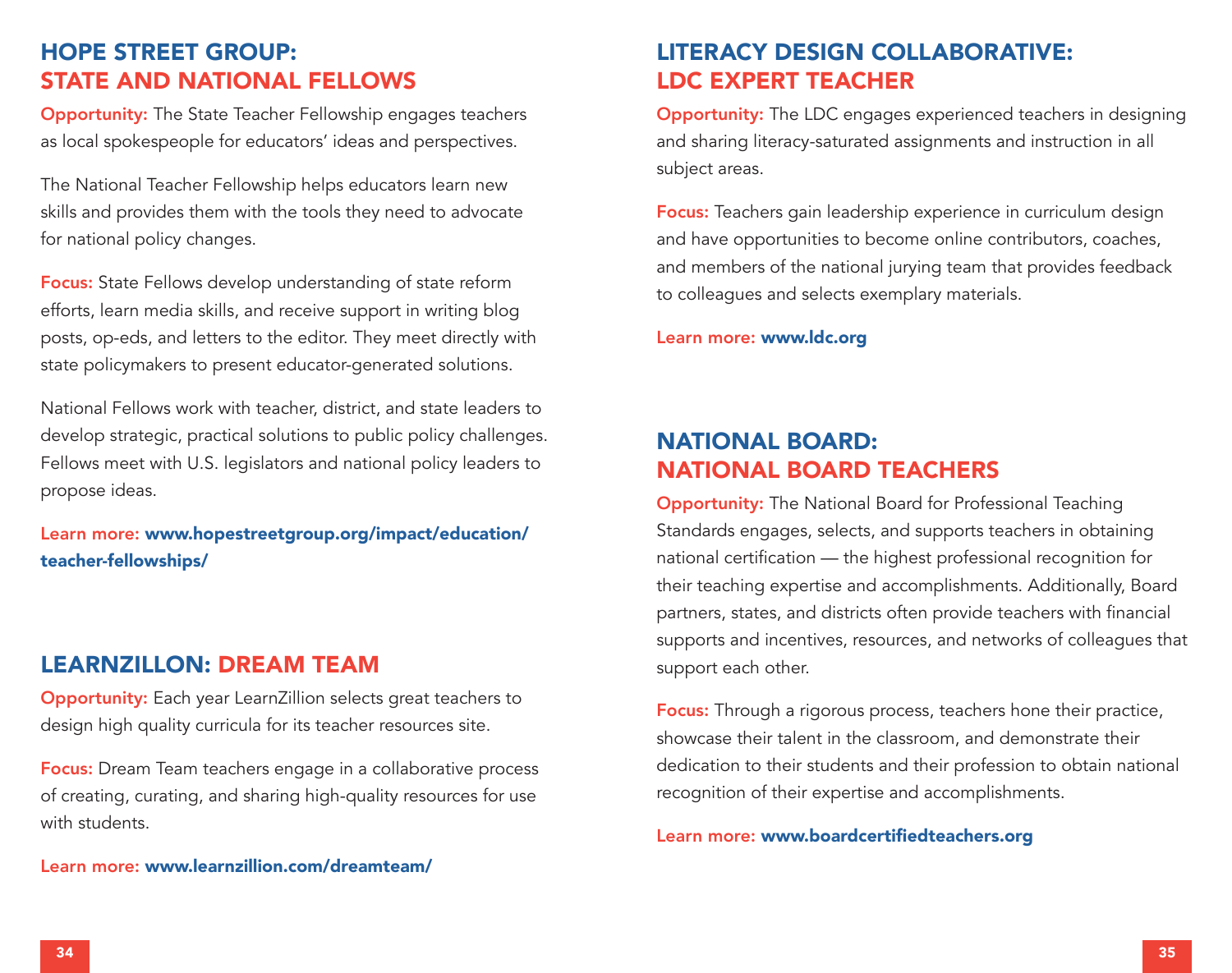#### HOPE STREET GROUP: STATE AND NATIONAL FELLOWS

Opportunity: The State Teacher Fellowship engages teachers as local spokespeople for educators' ideas and perspectives.

The National Teacher Fellowship helps educators learn new skills and provides them with the tools they need to advocate for national policy changes.

Focus: State Fellows develop understanding of state reform efforts, learn media skills, and receive support in writing blog posts, op-eds, and letters to the editor. They meet directly with state policymakers to present educator-generated solutions.

National Fellows work with teacher, district, and state leaders to develop strategic, practical solutions to public policy challenges. Fellows meet with U.S. legislators and national policy leaders to propose ideas.

Learn more: www.hopestreetgroup.org/impact/education/ teacher-fellowships/

#### LEARNZILLON: DREAM TEAM

Opportunity: Each year LearnZillion selects great teachers to design high quality curricula for its teacher resources site.

Focus: Dream Team teachers engage in a collaborative process of creating, curating, and sharing high-quality resources for use with students.

#### Learn more: www.learnzillion.com/dreamteam/

#### LITERACY DESIGN COLLABORATIVE: LDC EXPERT TEACHER

Opportunity: The LDC engages experienced teachers in designing and sharing literacy-saturated assignments and instruction in all subject areas.

Focus: Teachers gain leadership experience in curriculum design and have opportunities to become online contributors, coaches, and members of the national jurying team that provides feedback to colleagues and selects exemplary materials.

Learn more: www.ldc.org

#### NATIONAL BOARD: NATIONAL BOARD TEACHERS

Opportunity: The National Board for Professional Teaching Standards engages, selects, and supports teachers in obtaining national certification — the highest professional recognition for their teaching expertise and accomplishments. Additionally, Board partners, states, and districts often provide teachers with financial supports and incentives, resources, and networks of colleagues that support each other.

Focus: Through a rigorous process, teachers hone their practice, showcase their talent in the classroom, and demonstrate their dedication to their students and their profession to obtain national recognition of their expertise and accomplishments.

#### Learn more: www.boardcertifiedteachers.org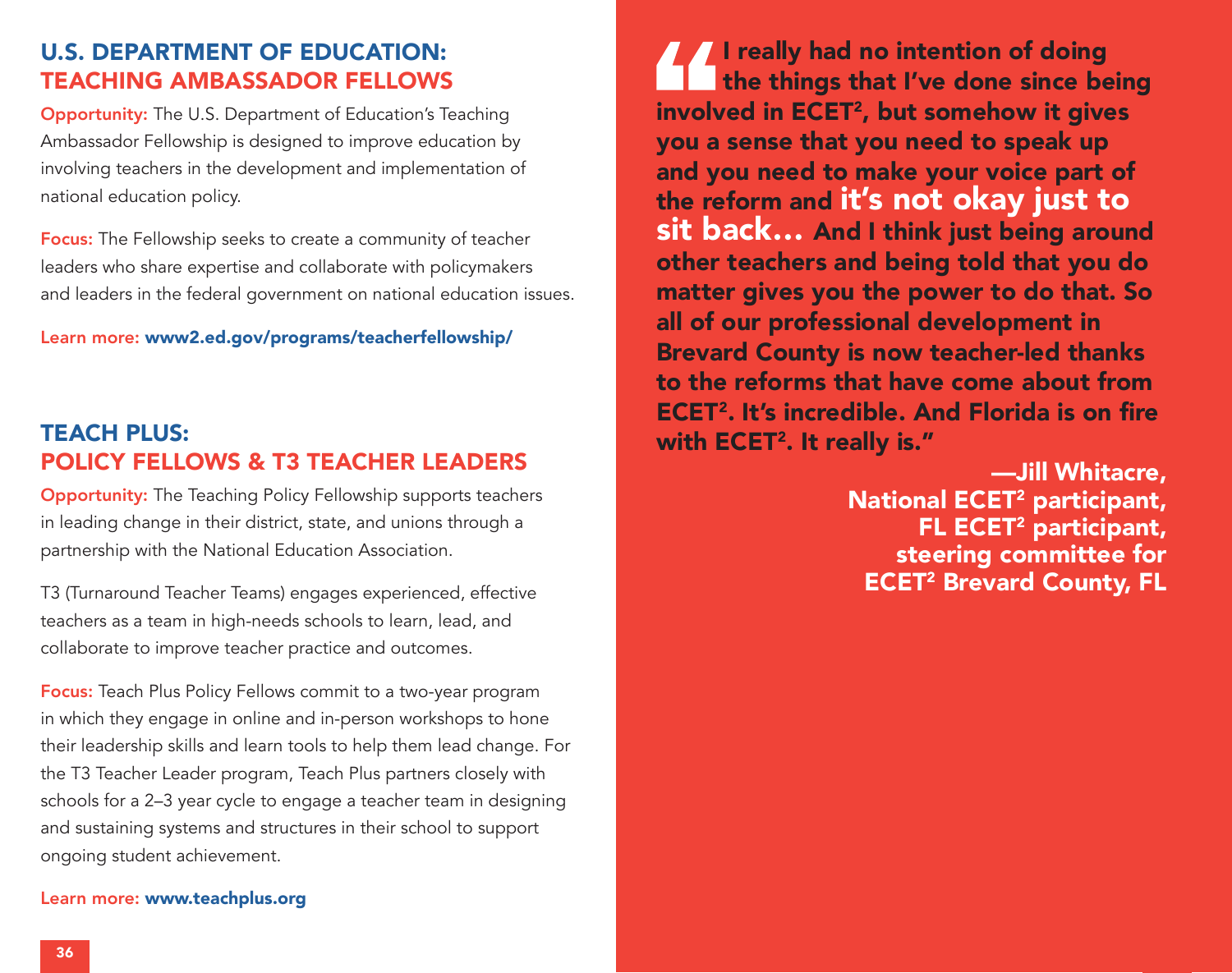#### U.S. DEPARTMENT OF EDUCATION: TEACHING AMBASSADOR FELLOWS

Opportunity: The U.S. Department of Education's Teaching Ambassador Fellowship is designed to improve education by involving teachers in the development and implementation of national education policy.

Focus: The Fellowship seeks to create a community of teacher leaders who share expertise and collaborate with policymakers and leaders in the federal government on national education issues.

Learn more: www2.ed.gov/programs/teacherfellowship/

#### TEACH PLUS: POLICY FELLOWS & T3 TEACHER LEADERS

Opportunity: The Teaching Policy Fellowship supports teachers in leading change in their district, state, and unions through a partnership with the National Education Association.

T3 (Turnaround Teacher Teams) engages experienced, effective teachers as a team in high-needs schools to learn, lead, and collaborate to improve teacher practice and outcomes.

Focus: Teach Plus Policy Fellows commit to a two-year program in which they engage in online and in-person workshops to hone their leadership skills and learn tools to help them lead change. For the T3 Teacher Leader program, Teach Plus partners closely with schools for a 2–3 year cycle to engage a teacher team in designing and sustaining systems and structures in their school to support ongoing student achievement.

#### Learn more: www.teachplus.org

**I really had no intention of doing** the things that I've done since being involved in ECET<sup>2</sup>, but somehow it gives you a sense that you need to speak up and you need to make your voice part of the reform and it's not okay just to sit back… And I think just being around other teachers and being told that you do matter gives you the power to do that. So all of our professional development in Brevard County is now teacher-led thanks to the reforms that have come about from ECET2. It's incredible. And Florida is on fire with ECET<sup>2</sup>. It really is."

> —Jill Whitacre, National ECET2 participant, FL ECET<sup>2</sup> participant, steering committee for **ECET<sup>2</sup> Brevard County, FL**